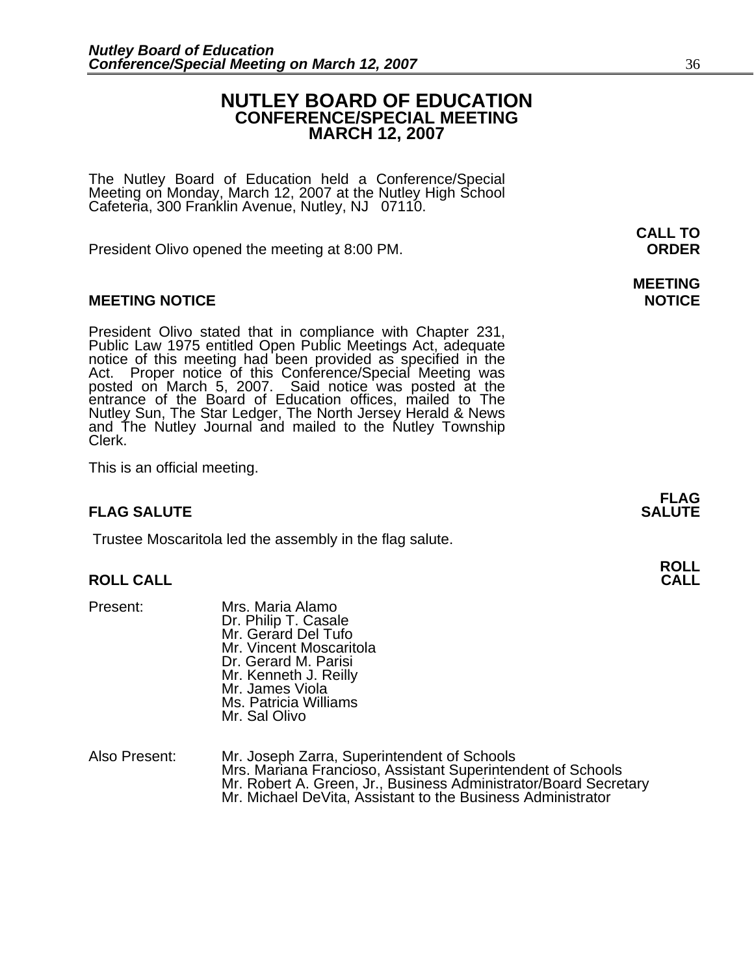# **NUTLEY BOARD OF EDUCATION CONFERENCE/SPECIAL MEETING MARCH 12, 2007**

The Nutley Board of Education held a Conference/Special Meeting on Monday, March 12, 2007 at the Nutley High School Cafeteria, 300 Franklin Avenue, Nutley, NJ 07110.

President Olivo opened the meeting at 8:00 PM. **ORDER**

### **MEETING NOTICE NOTICE AND INSTRUCCE**

President Olivo stated that in compliance with Chapter 231,<br>Public Law 1975 entitled Open Public Meetings Act, adequate<br>notice of this meeting had been provided as specified in the<br>Act. Proper notice of this Conference/Spe and The Nutley Journal and mailed to the Nutley Township Clerk.

This is an official meeting.

# **FLAG SALUTE SALUTE SALUTE**

Trustee Moscaritola led the assembly in the flag salute.

# **ROLL ROLL CALL CALL**

- Present: Mrs. Maria Alamo<br>Dr. Philip T. Casale Mr. Gerard Del Tufo Mr. Vincent Moscaritola Dr. Gerard M. Parisi Mr. Kenneth J. Reilly Mr. James Viola Ms. Patricia Williams Mr. Sal Olivo
- Also Present: Mr. Joseph Zarra, Superintendent of Schools<br>Mrs. Mariana Francioso, Assistant Superintendent of Schools Mr. Robert A. Green, Jr., Business Administrator/Board Secretary<br>Mr. Michael DeVita, Assistant to the Business Administrator

# **MEETING**

**FLAG** 

**CALL TO**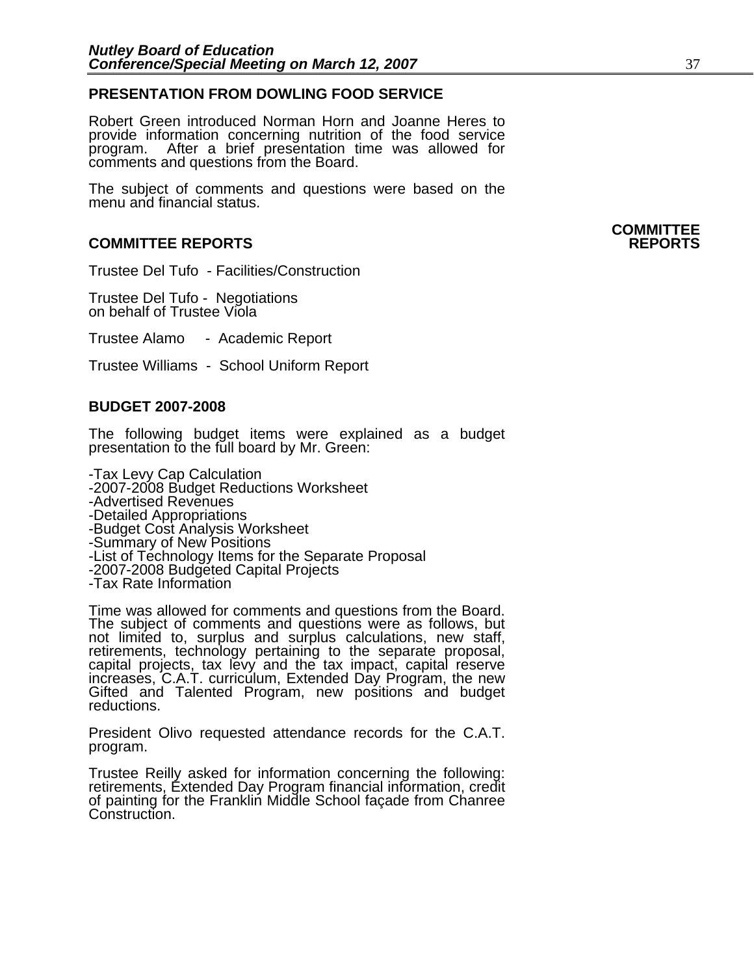### **PRESENTATION FROM DOWLING FOOD SERVICE**

Robert Green introduced Norman Horn and Joanne Heres to provide information concerning nutrition of the food service program. After a brief presentation time was allowed for comments and questions from the Board.

The subject of comments and questions were based on the menu and financial status.

### **COMMITTEE REPORTS REPORTS**

Trustee Del Tufo - Facilities/Construction

Trustee Del Tufo - Negotiations on behalf of Trustee Viola

Trustee Alamo - Academic Report

Trustee Williams - School Uniform Report

### **BUDGET 2007-2008**

The following budget items were explained as a budget presentation to the full board by Mr. Green:

-Tax Levy Cap Calculation -2007-2008 Budget Reductions Worksheet -Advertised Revenues -Detailed Appropriations -Budget Cost Analysis Worksheet -Summary of New Positions -List of Technology Items for the Separate Proposal<br>-2007-2008 Budgeted Capital Projects<br>-Tax Rate Information

Time was allowed for comments and questions from the Board. The subject of comments and questions were as follows, but not limited to, surplus and surplus calculations, new staff, retirements, technology pertaining to the separate proposal, capital projects, tax levy and the tax impact, capital reserve increases, C.A.T. curriculum, Extended Day Program, the new Gifted and Talented Program, new positions and budget reductions.

President Olivo requested attendance records for the C.A.T. program.

Trustee Reilly asked for information concerning the following: retirements, Extended Day Program financial information, credit of painting for the Franklin Middle School façade from Chanree Construction.

# **COMMITTEE**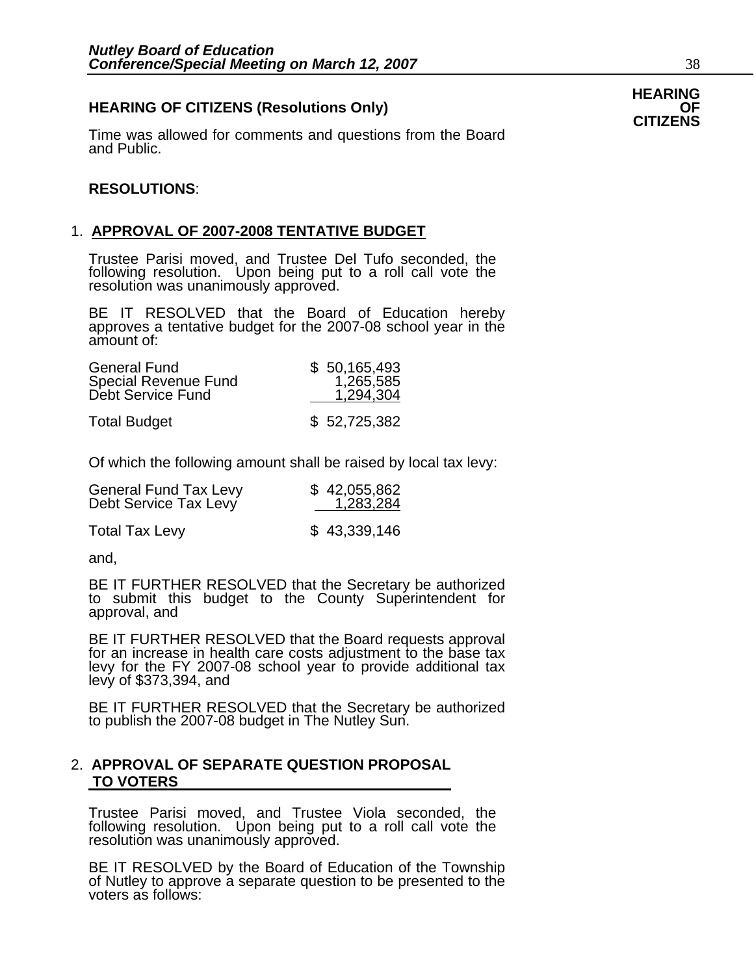# **HEARING OF CITIZENS (Resolutions Only) OF CITIZENS**

Time was allowed for comments and questions from the Board and Public.

#### **RESOLUTIONS**:

# 1. **APPROVAL OF 2007-2008 TENTATIVE BUDGET**

Trustee Parisi moved, and Trustee Del Tufo seconded, the following resolution. Upon being put to a roll call vote the resolution was unanimously approved.

BE IT RESOLVED that the Board of Education hereby approves a tentative budget for the 2007-08 school year in the amount of:

| <b>General Fund</b><br>Special Revenue Fund<br>Debt Service Fund | \$50,165,493<br>1,265,585<br>1,294,304 |
|------------------------------------------------------------------|----------------------------------------|
| <b>Total Budget</b>                                              | \$52,725,382                           |

Of which the following amount shall be raised by local tax levy:

| <b>General Fund Tax Levy</b> | \$42,055,862 |
|------------------------------|--------------|
| Debt Service Tax Levy        | 1,283,284    |
|                              |              |

Total Tax Levy \$ 43,339,146

and,

BE IT FURTHER RESOLVED that the Secretary be authorized to submit this budget to the County Superintendent for approval, and

BE IT FURTHER RESOLVED that the Board requests approval for an increase in health care costs adjustment to the base tax levy for the FY 2007-08 school year to provide additional tax levy of \$373,394, and

BE IT FURTHER RESOLVED that the Secretary be authorized to publish the 2007-08 budget in The Nutley Sun.

### 2. **APPROVAL OF SEPARATE QUESTION PROPOSAL TO VOTERS**

Trustee Parisi moved, and Trustee Viola seconded, the following resolution. Upon being put to a roll call vote the resolution was unanimously approved.

BE IT RESOLVED by the Board of Education of the Township of Nutley to approve a separate question to be presented to the voters as follows: